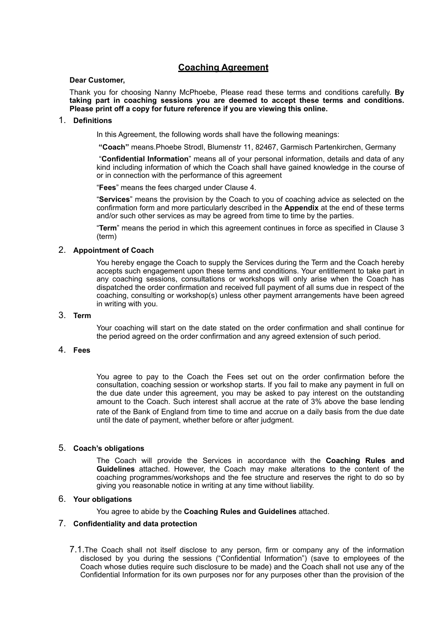# **Coaching Agreement**

### **Dear Customer,**

Thank you for choosing Nanny McPhoebe, Please read these terms and conditions carefully. **By taking part in coaching sessions you are deemed to accept these terms and conditions. Please print off a copy for future reference if you are viewing this online.** 

# 1. **Definitions**

In this Agreement, the following words shall have the following meanings:

 **"Coach"** means.Phoebe Strodl, Blumenstr 11, 82467, Garmisch Partenkirchen, Germany

 "**Confidential Information**" means all of your personal information, details and data of any kind including information of which the Coach shall have gained knowledge in the course of or in connection with the performance of this agreement

"**Fees**" means the fees charged under Clause 4.

"**Services**" means the provision by the Coach to you of coaching advice as selected on the confirmation form and more particularly described in the **Appendix** at the end of these terms and/or such other services as may be agreed from time to time by the parties.

"**Term**" means the period in which this agreement continues in force as specified in Clause 3 (term)

# 2. **Appointment of Coach**

You hereby engage the Coach to supply the Services during the Term and the Coach hereby accepts such engagement upon these terms and conditions. Your entitlement to take part in any coaching sessions, consultations or workshops will only arise when the Coach has dispatched the order confirmation and received full payment of all sums due in respect of the coaching, consulting or workshop(s) unless other payment arrangements have been agreed in writing with you.

# 3. **Term**

Your coaching will start on the date stated on the order confirmation and shall continue for the period agreed on the order confirmation and any agreed extension of such period.

# 4. **Fees**

You agree to pay to the Coach the Fees set out on the order confirmation before the consultation, coaching session or workshop starts. If you fail to make any payment in full on the due date under this agreement, you may be asked to pay interest on the outstanding amount to the Coach. Such interest shall accrue at the rate of 3% above the base lending rate of the Bank of England from time to time and accrue on a daily basis from the due date until the date of payment, whether before or after judgment.

# 5. **Coach's obligations**

The Coach will provide the Services in accordance with the **Coaching Rules and Guidelines** attached. However, the Coach may make alterations to the content of the coaching programmes/workshops and the fee structure and reserves the right to do so by giving you reasonable notice in writing at any time without liability.

# 6. **Your obligations**

You agree to abide by the **Coaching Rules and Guidelines** attached.

#### 7. **Confidentiality and data protection**

7.1.The Coach shall not itself disclose to any person, firm or company any of the information disclosed by you during the sessions ("Confidential Information") (save to employees of the Coach whose duties require such disclosure to be made) and the Coach shall not use any of the Confidential Information for its own purposes nor for any purposes other than the provision of the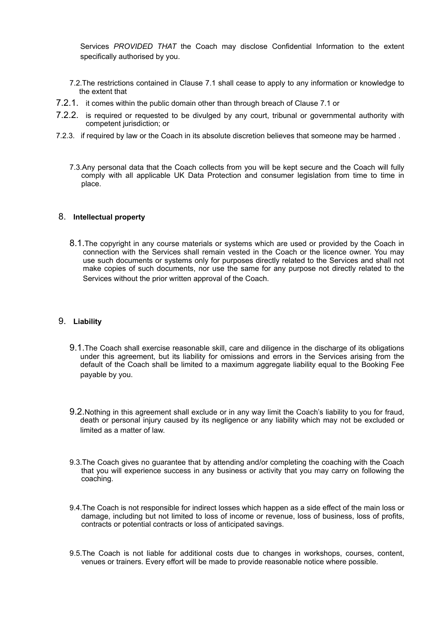Services *PROVIDED THAT* the Coach may disclose Confidential Information to the extent specifically authorised by you.

- 7.2.The restrictions contained in Clause 7.1 shall cease to apply to any information or knowledge to the extent that
- 7.2.1. it comes within the public domain other than through breach of Clause 7.1 or
- 7.2.2. is required or requested to be divulged by any court, tribunal or governmental authority with competent jurisdiction; or
- 7.2.3. if required by law or the Coach in its absolute discretion believes that someone may be harmed .
	- 7.3.Any personal data that the Coach collects from you will be kept secure and the Coach will fully comply with all applicable UK Data Protection and consumer legislation from time to time in place.

# 8. **Intellectual property**

8.1.The copyright in any course materials or systems which are used or provided by the Coach in connection with the Services shall remain vested in the Coach or the licence owner. You may use such documents or systems only for purposes directly related to the Services and shall not make copies of such documents, nor use the same for any purpose not directly related to the Services without the prior written approval of the Coach.

#### 9. **Liability**

- 9.1.The Coach shall exercise reasonable skill, care and diligence in the discharge of its obligations under this agreement, but its liability for omissions and errors in the Services arising from the default of the Coach shall be limited to a maximum aggregate liability equal to the Booking Fee payable by you.
- 9.2.Nothing in this agreement shall exclude or in any way limit the Coach's liability to you for fraud, death or personal injury caused by its negligence or any liability which may not be excluded or limited as a matter of law.
- 9.3.The Coach gives no guarantee that by attending and/or completing the coaching with the Coach that you will experience success in any business or activity that you may carry on following the coaching.
- 9.4.The Coach is not responsible for indirect losses which happen as a side effect of the main loss or damage, including but not limited to loss of income or revenue, loss of business, loss of profits, contracts or potential contracts or loss of anticipated savings.
- 9.5.The Coach is not liable for additional costs due to changes in workshops, courses, content, venues or trainers. Every effort will be made to provide reasonable notice where possible.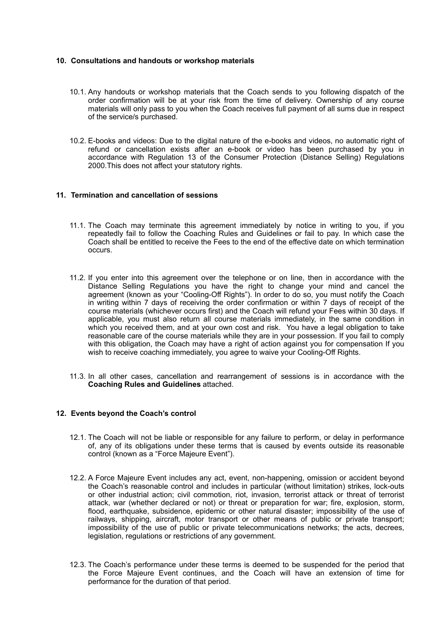#### **10. Consultations and handouts or workshop materials**

- 10.1. Any handouts or workshop materials that the Coach sends to you following dispatch of the order confirmation will be at your risk from the time of delivery. Ownership of any course materials will only pass to you when the Coach receives full payment of all sums due in respect of the service/s purchased.
- 10.2. E-books and videos: Due to the digital nature of the e-books and videos, no automatic right of refund or cancellation exists after an e-book or video has been purchased by you in accordance with Regulation 13 of the Consumer Protection (Distance Selling) Regulations 2000.This does not affect your statutory rights.

# **11. Termination and cancellation of sessions**

- 11.1. The Coach may terminate this agreement immediately by notice in writing to you, if you repeatedly fail to follow the Coaching Rules and Guidelines or fail to pay. In which case the Coach shall be entitled to receive the Fees to the end of the effective date on which termination occurs.
- 11.2. If you enter into this agreement over the telephone or on line, then in accordance with the Distance Selling Regulations you have the right to change your mind and cancel the agreement (known as your "Cooling-Off Rights"). In order to do so, you must notify the Coach in writing within 7 days of receiving the order confirmation or within 7 days of receipt of the course materials (whichever occurs first) and the Coach will refund your Fees within 30 days. If applicable, you must also return all course materials immediately, in the same condition in which you received them, and at your own cost and risk. You have a legal obligation to take reasonable care of the course materials while they are in your possession. If you fail to comply with this obligation, the Coach may have a right of action against you for compensation If you wish to receive coaching immediately, you agree to waive your Cooling-Off Rights.
- 11.3. In all other cases, cancellation and rearrangement of sessions is in accordance with the **Coaching Rules and Guidelines** attached.

#### **12. Events beyond the Coach's control**

- 12.1. The Coach will not be liable or responsible for any failure to perform, or delay in performance of, any of its obligations under these terms that is caused by events outside its reasonable control (known as a "Force Majeure Event").
- 12.2. A Force Majeure Event includes any act, event, non-happening, omission or accident beyond the Coach's reasonable control and includes in particular (without limitation) strikes, lock-outs or other industrial action; civil commotion, riot, invasion, terrorist attack or threat of terrorist attack, war (whether declared or not) or threat or preparation for war; fire, explosion, storm, flood, earthquake, subsidence, epidemic or other natural disaster; impossibility of the use of railways, shipping, aircraft, motor transport or other means of public or private transport; impossibility of the use of public or private telecommunications networks; the acts, decrees, legislation, regulations or restrictions of any government.
- 12.3. The Coach's performance under these terms is deemed to be suspended for the period that the Force Majeure Event continues, and the Coach will have an extension of time for performance for the duration of that period.